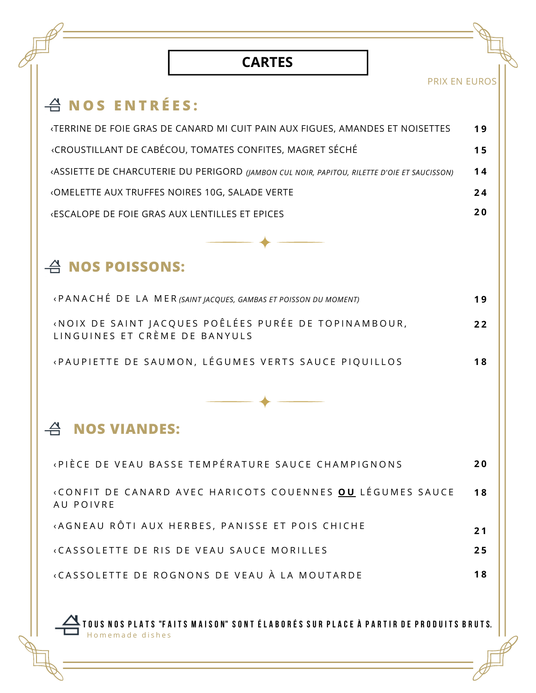## **CARTES**

PRIX EN EUROS

## **N O S E N T R É E S :**

| «TERRINE DE FOIE GRAS DE CANARD MI CUIT PAIN AUX FIGUES, AMANDES ET NOISETTES               | 19        |
|---------------------------------------------------------------------------------------------|-----------|
| «CROUSTILLANT DE CABÉCOU, TOMATES CONFITES, MAGRET SÉCHÉ                                    | 15        |
| «ASSIETTE DE CHARCUTERIE DU PERIGORD (JAMBON CUL NOIR, PAPITOU, RILETTE D'OIE ET SAUCISSON) | 14        |
| «OMELETTE AUX TRUFFES NOIRES 10G, SALADE VERTE                                              | 24        |
| <b>ESCALOPE DE FOIE GRAS AUX LENTILLES ET EPICES</b>                                        | <b>20</b> |

## **NOS POISSONS:**

| «PANACHÉ DE LA MER (SAINT JACQUES, GAMBAS ET POISSON DU MOMENT)                       | 19   |
|---------------------------------------------------------------------------------------|------|
| «NOIX DE SAINT JACQUES POÊLÉES PURÉE DE TOPINAMBOUR,<br>LINGUINES ET CRÈME DE BANYULS | $22$ |
| «PAUPIETTE DE SAUMON, LÉGUMES VERTS SAUCE PIQUILLOS                                   | 18   |

## **NOS VIANDES:**

| «PIÈCE DE VEAU BASSE TEMPÉRATURE SAUCE CHAMPIGNONS»                    | <b>20</b>       |
|------------------------------------------------------------------------|-----------------|
| «CONFIT DE CANARD AVEC HARICOTS COUENNES OU LÉGUMES SAUCE<br>AU POIVRE | $\overline{18}$ |
| «AGNEAU RÔTI AUX HERBES, PANISSE ET POIS CHICHE                        | 21              |
| «CASSOLETTE DE RIS DE VEAU SAUCE MORILLES                              | 25              |
| «CASSOLETTE DE ROGNONS DE VEAU À LA MOUTARDE                           |                 |

TOUS NOS PLATS "FAITS MAISON" SONT ÉLABORÉS SUR PLACE À PARTIR DE PRODUITS BRUTS. Homemade dishes